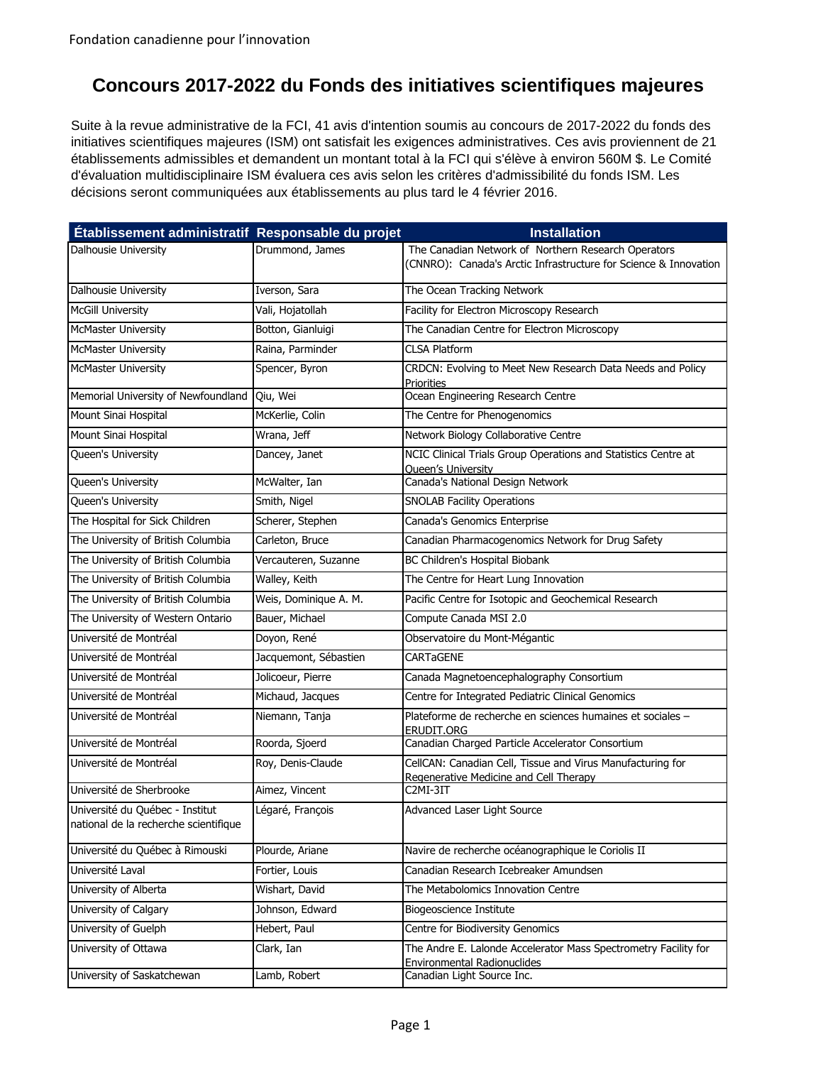## **Concours 2017-2022 du Fonds des initiatives scientifiques majeures**

Suite à la revue administrative de la FCI, 41 avis d'intention soumis au concours de 2017-2022 du fonds des initiatives scientifiques majeures (ISM) ont satisfait les exigences administratives. Ces avis proviennent de 21 établissements admissibles et demandent un montant total à la FCI qui s'élève à environ 560M \$. Le Comité d'évaluation multidisciplinaire ISM évaluera ces avis selon les critères d'admissibilité du fonds ISM. Les décisions seront communiquées aux établissements au plus tard le 4 février 2016.

| Établissement administratif Responsable du projet                        |                       | <b>Installation</b>                                                                                                     |
|--------------------------------------------------------------------------|-----------------------|-------------------------------------------------------------------------------------------------------------------------|
| Dalhousie University                                                     | Drummond, James       | The Canadian Network of Northern Research Operators<br>(CNNRO): Canada's Arctic Infrastructure for Science & Innovation |
| Dalhousie University                                                     | Iverson, Sara         | The Ocean Tracking Network                                                                                              |
| <b>McGill University</b>                                                 | Vali, Hojatollah      | Facility for Electron Microscopy Research                                                                               |
| <b>McMaster University</b>                                               | Botton, Gianluigi     | The Canadian Centre for Electron Microscopy                                                                             |
| McMaster University                                                      | Raina, Parminder      | <b>CLSA Platform</b>                                                                                                    |
| McMaster University                                                      | Spencer, Byron        | CRDCN: Evolving to Meet New Research Data Needs and Policy<br><b>Priorities</b>                                         |
| Memorial University of Newfoundland                                      | Qiu, Wei              | Ocean Engineering Research Centre                                                                                       |
| Mount Sinai Hospital                                                     | McKerlie, Colin       | The Centre for Phenogenomics                                                                                            |
| Mount Sinai Hospital                                                     | Wrana, Jeff           | Network Biology Collaborative Centre                                                                                    |
| Queen's University                                                       | Dancey, Janet         | NCIC Clinical Trials Group Operations and Statistics Centre at<br><b>Queen's University</b>                             |
| Queen's University                                                       | McWalter, Ian         | Canada's National Design Network                                                                                        |
| Queen's University                                                       | Smith, Nigel          | <b>SNOLAB Facility Operations</b>                                                                                       |
| The Hospital for Sick Children                                           | Scherer, Stephen      | Canada's Genomics Enterprise                                                                                            |
| The University of British Columbia                                       | Carleton, Bruce       | Canadian Pharmacogenomics Network for Drug Safety                                                                       |
| The University of British Columbia                                       | Vercauteren, Suzanne  | BC Children's Hospital Biobank                                                                                          |
| The University of British Columbia                                       | Walley, Keith         | The Centre for Heart Lung Innovation                                                                                    |
| The University of British Columbia                                       | Weis, Dominique A. M. | Pacific Centre for Isotopic and Geochemical Research                                                                    |
| The University of Western Ontario                                        | Bauer, Michael        | Compute Canada MSI 2.0                                                                                                  |
| Université de Montréal                                                   | Doyon, René           | Observatoire du Mont-Mégantic                                                                                           |
| Université de Montréal                                                   | Jacquemont, Sébastien | <b>CARTaGENE</b>                                                                                                        |
| Université de Montréal                                                   | Jolicoeur, Pierre     | Canada Magnetoencephalography Consortium                                                                                |
| Université de Montréal                                                   | Michaud, Jacques      | Centre for Integrated Pediatric Clinical Genomics                                                                       |
| Université de Montréal                                                   | Niemann, Tanja        | Plateforme de recherche en sciences humaines et sociales -<br>ERUDIT.ORG                                                |
| Université de Montréal                                                   | Roorda, Sjoerd        | Canadian Charged Particle Accelerator Consortium                                                                        |
| Université de Montréal                                                   | Roy, Denis-Claude     | CellCAN: Canadian Cell, Tissue and Virus Manufacturing for<br>Regenerative Medicine and Cell Therapy                    |
| Université de Sherbrooke                                                 | Aimez, Vincent        | C2MI-3IT                                                                                                                |
| Université du Québec - Institut<br>national de la recherche scientifique | Légaré, François      | Advanced Laser Light Source                                                                                             |
| Université du Québec à Rimouski                                          | Plourde, Ariane       | Navire de recherche océanographique le Coriolis II                                                                      |
| Université Laval                                                         | Fortier, Louis        | Canadian Research Icebreaker Amundsen                                                                                   |
| University of Alberta                                                    | Wishart, David        | The Metabolomics Innovation Centre                                                                                      |
| University of Calgary                                                    | Johnson, Edward       | <b>Biogeoscience Institute</b>                                                                                          |
| University of Guelph                                                     | Hebert, Paul          | Centre for Biodiversity Genomics                                                                                        |
| University of Ottawa                                                     | Clark, Ian            | The Andre E. Lalonde Accelerator Mass Spectrometry Facility for<br><b>Environmental Radionuclides</b>                   |
| University of Saskatchewan                                               | Lamb, Robert          | Canadian Light Source Inc.                                                                                              |